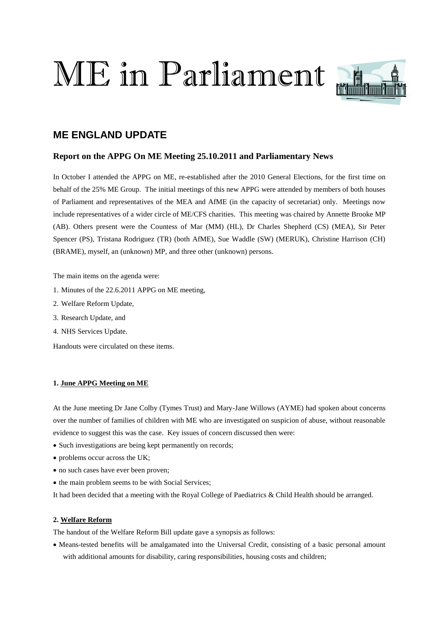# ME in Parliament



# **ME ENGLAND UPDATE**

# **Report on the APPG On ME Meeting 25.10.2011 and Parliamentary News**

In October I attended the APPG on ME, re-established after the 2010 General Elections, for the first time on behalf of the 25% ME Group. The initial meetings of this new APPG were attended by members of both houses of Parliament and representatives of the MEA and AfME (in the capacity of secretariat) only. Meetings now include representatives of a wider circle of ME/CFS charities. This meeting was chaired by Annette Brooke MP (AB). Others present were the Countess of Mar (MM) (HL), Dr Charles Shepherd (CS) (MEA), Sir Peter Spencer (PS), Tristana Rodriguez (TR) (both AfME), Sue Waddle (SW) (MERUK), Christine Harrison (CH) (BRAME), myself, an (unknown) MP, and three other (unknown) persons.

The main items on the agenda were:

- 1. Minutes of the 22.6.2011 APPG on ME meeting,
- 2. Welfare Reform Update,
- 3. Research Update, and
- 4. NHS Services Update.

Handouts were circulated on these items.

# **1. June APPG Meeting on ME**

At the June meeting Dr Jane Colby (Tymes Trust) and Mary-Jane Willows (AYME) had spoken about concerns over the number of families of children with ME who are investigated on suspicion of abuse, without reasonable evidence to suggest this was the case. Key issues of concern discussed then were:

- Such investigations are being kept permanently on records;
- problems occur across the UK;
- no such cases have ever been proven;
- the main problem seems to be with Social Services;

It had been decided that a meeting with the Royal College of Paediatrics & Child Health should be arranged.

# **2. Welfare Reform**

The handout of the Welfare Reform Bill update gave a synopsis as follows:

• Means-tested benefits will be amalgamated into the Universal Credit, consisting of a basic personal amount with additional amounts for disability, caring responsibilities, housing costs and children;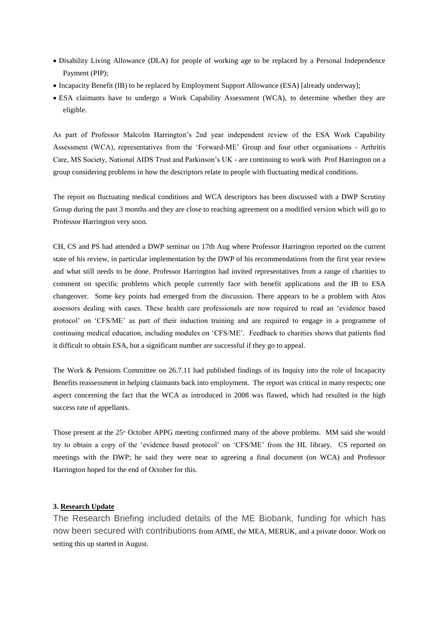- Disability Living Allowance (DLA) for people of working age to be replaced by a Personal Independence Payment (PIP);
- Incapacity Benefit (IB) to be replaced by Employment Support Allowance (ESA) [already underway];
- ESA claimants have to undergo a Work Capability Assessment (WCA), to determine whether they are eligible.

As part of Professor Malcolm Harrington's 2nd year independent review of the ESA Work Capability Assessment (WCA), representatives from the 'Forward-ME' Group and four other organisations - Arthritis Care, MS Society, National AIDS Trust and Parkinson's UK - are continuing to work with Prof Harrington on a group considering problems in how the descriptors relate to people with fluctuating medical conditions.

The report on fluctuating medical conditions and WCA descriptors has been discussed with a DWP Scrutiny Group during the past 3 months and they are close to reaching agreement on a modified version which will go to Professor Harrington very soon.

CH, CS and PS had attended a DWP seminar on 17th Aug where Professor Harrington reported on the current state of his review, in particular implementation by the DWP of his recommendations from the first year review and what still needs to be done. Professor Harrington had invited representatives from a range of charities to comment on specific problems which people currently face with benefit applications and the IB to ESA changeover. Some key points had emerged from the discussion. There appears to be a problem with Atos assessors dealing with cases. These health care professionals are now required to read an 'evidence based protocol' on 'CFS/ME' as part of their induction training and are required to engage in a programme of continuing medical education, including modules on 'CFS/ME'. Feedback to charities shows that patients find it difficult to obtain ESA, but a significant number are successful if they go to appeal.

The Work & Pensions Committee on 26.7.11 had published findings of its Inquiry into the role of Incapacity Benefits reassessment in helping claimants back into employment. The report was critical in many respects; one aspect concerning the fact that the WCA as introduced in 2008 was flawed, which had resulted in the high success rate of appellants.

Those present at the 25<sup>th</sup> October APPG meeting confirmed many of the above problems. MM said she would try to obtain a copy of the 'evidence based protocol' on 'CFS/ME' from the HL library. CS reported on meetings with the DWP; he said they were near to agreeing a final document (on WCA) and Professor Harrington hoped for the end of October for this.

#### **3. Research Update**

The Research Briefing included details of the ME Biobank, funding for which has now been secured with contributions from AfME, the MEA, MERUK, and a private donor. Work on setting this up started in August.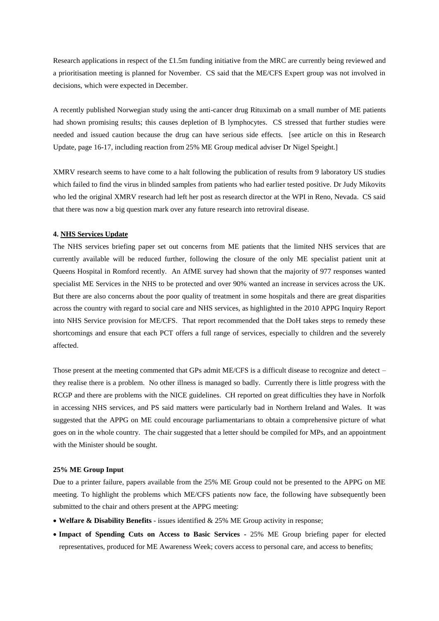Research applications in respect of the £1.5m funding initiative from the MRC are currently being reviewed and a prioritisation meeting is planned for November. CS said that the ME/CFS Expert group was not involved in decisions, which were expected in December.

A recently published Norwegian study using the anti-cancer drug Rituximab on a small number of ME patients had shown promising results; this causes depletion of B lymphocytes. CS stressed that further studies were needed and issued caution because the drug can have serious side effects. [see article on this in Research Update, page 16-17, including reaction from 25% ME Group medical adviser Dr Nigel Speight.]

XMRV research seems to have come to a halt following the publication of results from 9 laboratory US studies which failed to find the virus in blinded samples from patients who had earlier tested positive. Dr Judy Mikovits who led the original XMRV research had left her post as research director at the WPI in Reno, Nevada. CS said that there was now a big question mark over any future research into retroviral disease.

#### **4. NHS Services Update**

The NHS services briefing paper set out concerns from ME patients that the limited NHS services that are currently available will be reduced further, following the closure of the only ME specialist patient unit at Queens Hospital in Romford recently. An AfME survey had shown that the majority of 977 responses wanted specialist ME Services in the NHS to be protected and over 90% wanted an increase in services across the UK. But there are also concerns about the poor quality of treatment in some hospitals and there are great disparities across the country with regard to social care and NHS services, as highlighted in the 2010 APPG Inquiry Report into NHS Service provision for ME/CFS. That report recommended that the DoH takes steps to remedy these shortcomings and ensure that each PCT offers a full range of services, especially to children and the severely affected.

Those present at the meeting commented that GPs admit ME/CFS is a difficult disease to recognize and detect – they realise there is a problem. No other illness is managed so badly. Currently there is little progress with the RCGP and there are problems with the NICE guidelines. CH reported on great difficulties they have in Norfolk in accessing NHS services, and PS said matters were particularly bad in Northern Ireland and Wales. It was suggested that the APPG on ME could encourage parliamentarians to obtain a comprehensive picture of what goes on in the whole country. The chair suggested that a letter should be compiled for MPs, and an appointment with the Minister should be sought.

#### **25% ME Group Input**

Due to a printer failure, papers available from the 25% ME Group could not be presented to the APPG on ME meeting. To highlight the problems which ME/CFS patients now face, the following have subsequently been submitted to the chair and others present at the APPG meeting:

- **Welfare & Disability Benefits** issues identified & 25% ME Group activity in response;
- **Impact of Spending Cuts on Access to Basic Services -** 25% ME Group briefing paper for elected representatives, produced for ME Awareness Week; covers access to personal care, and access to benefits;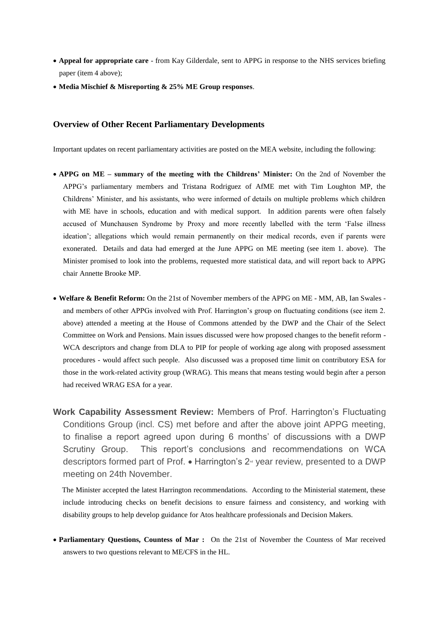- **Appeal for appropriate care**  from Kay Gilderdale, sent to APPG in response to the NHS services briefing paper (item 4 above);
- **Media Mischief & Misreporting & 25% ME Group responses**.

### **Overview of Other Recent Parliamentary Developments**

Important updates on recent parliamentary activities are posted on the MEA website, including the following:

- **APPG on ME – summary of the meeting with the Childrens' Minister:** On the 2nd of November the APPG's parliamentary members and Tristana Rodriguez of AfME met with Tim Loughton MP, the Childrens' Minister, and his assistants, who were informed of details on multiple problems which children with ME have in schools, education and with medical support. In addition parents were often falsely accused of Munchausen Syndrome by Proxy and more recently labelled with the term 'False illness ideation'; allegations which would remain permanently on their medical records, even if parents were exonerated. Details and data had emerged at the June APPG on ME meeting (see item 1. above). The Minister promised to look into the problems, requested more statistical data, and will report back to APPG chair Annette Brooke MP.
- **Welfare & Benefit Reform:** On the 21st of November members of the APPG on ME MM, AB, Ian Swales and members of other APPGs involved with Prof. Harrington's group on fluctuating conditions (see item 2. above) attended a meeting at the House of Commons attended by the DWP and the Chair of the Select Committee on Work and Pensions. Main issues discussed were how proposed changes to the benefit reform - WCA descriptors and change from DLA to PIP for people of working age along with proposed assessment procedures - would affect such people. Also discussed was a proposed time limit on contributory ESA for those in the work-related activity group (WRAG). This means that means testing would begin after a person had received WRAG ESA for a year.
- **Work Capability Assessment Review:** Members of Prof. Harrington's Fluctuating Conditions Group (incl. CS) met before and after the above joint APPG meeting, to finalise a report agreed upon during 6 months' of discussions with a DWP Scrutiny Group. This report's conclusions and recommendations on WCA descriptors formed part of Prof.  $\bullet$  Harrington's  $2^{\omega}$  year review, presented to a DWP meeting on 24th November.

The Minister accepted the latest Harrington recommendations. According to the Ministerial statement, these include introducing checks on benefit decisions to ensure fairness and consistency, and working with disability groups to help develop guidance for Atos healthcare professionals and Decision Makers.

• **Parliamentary Questions, Countess of Mar :** On the 21st of November the Countess of Mar received answers to two questions relevant to ME/CFS in the HL.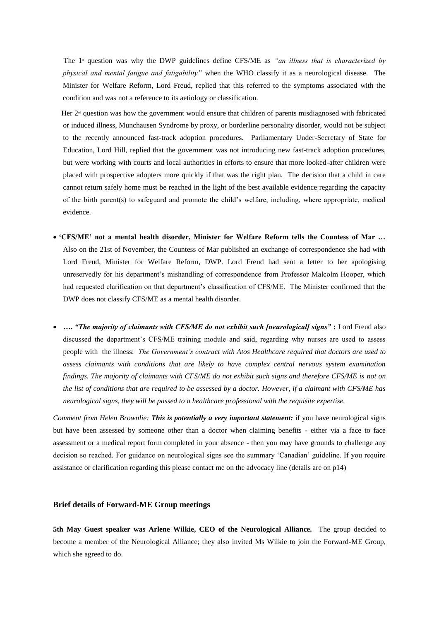The 1<sup>st</sup> question was why the DWP guidelines define CFS/ME as *"an illness that is characterized by physical and mental fatigue and fatigability"* when the WHO classify it as a neurological disease. The Minister for Welfare Reform, Lord Freud, replied that this referred to the symptoms associated with the condition and was not a reference to its aetiology or classification.

Her  $2<sup>\omega</sup>$  question was how the government would ensure that children of parents misdiagnosed with fabricated or induced illness, Munchausen Syndrome by proxy, or borderline personality disorder, would not be subject to the recently announced fast-track adoption procedures. Parliamentary Under-Secretary of State for Education, Lord Hill, replied that the government was not introducing new fast-track adoption procedures, but were working with courts and local authorities in efforts to ensure that more looked-after children were placed with prospective adopters more quickly if that was the right plan. The decision that a child in care cannot return safely home must be reached in the light of the best available evidence regarding the capacity of the birth parent(s) to safeguard and promote the child's welfare, including, where appropriate, medical evidence.

- **'CFS/ME' not a mental health disorder, Minister for Welfare Reform tells the Countess of Mar …**  Also on the 21st of November, the Countess of Mar published an exchange of correspondence she had with Lord Freud, Minister for Welfare Reform, DWP. Lord Freud had sent a letter to her apologising unreservedly for his department's mishandling of correspondence from Professor Malcolm Hooper, which had requested clarification on that department's classification of CFS/ME. The Minister confirmed that the DWP does not classify CFS/ME as a mental health disorder.
- **….** *"The majority of claimants with CFS/ME do not exhibit such [neurological] signs"* **:** Lord Freud also discussed the department's CFS/ME training module and said, regarding why nurses are used to assess people with the illness: *The Government's contract with Atos Healthcare required that doctors are used to assess claimants with conditions that are likely to have complex central nervous system examination findings. The majority of claimants with CFS/ME do not exhibit such signs and therefore CFS/ME is not on the list of conditions that are required to be assessed by a doctor. However, if a claimant with CFS/ME has neurological signs, they will be passed to a healthcare professional with the requisite expertise.*

*Comment from Helen Brownlie: This is potentially a very important statement:* if you have neurological signs but have been assessed by someone other than a doctor when claiming benefits - either via a face to face assessment or a medical report form completed in your absence - then you may have grounds to challenge any decision so reached. For guidance on neurological signs see the summary 'Canadian' guideline. If you require assistance or clarification regarding this please contact me on the advocacy line (details are on p14)

#### **Brief details of Forward-ME Group meetings**

**5th May Guest speaker was Arlene Wilkie, CEO of the Neurological Alliance.** The group decided to become a member of the Neurological Alliance; they also invited Ms Wilkie to join the Forward-ME Group, which she agreed to do.